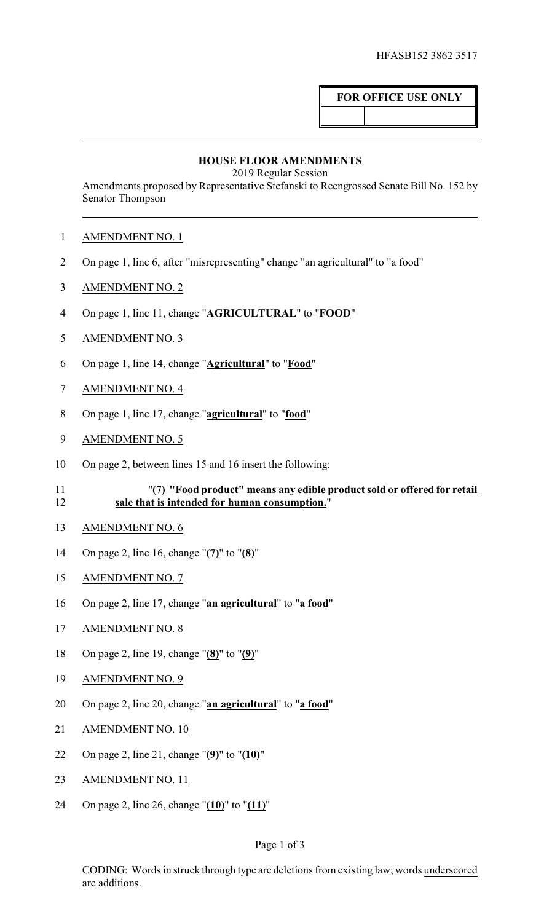## **FOR OFFICE USE ONLY**

## **HOUSE FLOOR AMENDMENTS**

2019 Regular Session

Amendments proposed by Representative Stefanski to Reengrossed Senate Bill No. 152 by Senator Thompson

- AMENDMENT NO. 1
- On page 1, line 6, after "misrepresenting" change "an agricultural" to "a food"
- AMENDMENT NO. 2
- On page 1, line 11, change "**AGRICULTURAL**" to "**FOOD**"
- AMENDMENT NO. 3
- On page 1, line 14, change "**Agricultural**" to "**Food**"
- AMENDMENT NO. 4
- On page 1, line 17, change "**agricultural**" to "**food**"
- 9 AMENDMENT NO. 5
- On page 2, between lines 15 and 16 insert the following:
- "**(7) "Food product" means any edible product sold or offered for retail sale that is intended for human consumption.**"
- AMENDMENT NO. 6
- On page 2, line 16, change "**(7)**" to "**(8)**"
- AMENDMENT NO. 7
- On page 2, line 17, change "**an agricultural**" to "**a food**"
- AMENDMENT NO. 8
- On page 2, line 19, change "**(8)**" to "**(9)**"
- AMENDMENT NO. 9
- On page 2, line 20, change "**an agricultural**" to "**a food**"
- AMENDMENT NO. 10
- On page 2, line 21, change "**(9)**" to "**(10)**"
- AMENDMENT NO. 11
- On page 2, line 26, change "**(10)**" to "**(11)**"

## Page 1 of 3

CODING: Words in struck through type are deletions from existing law; words underscored are additions.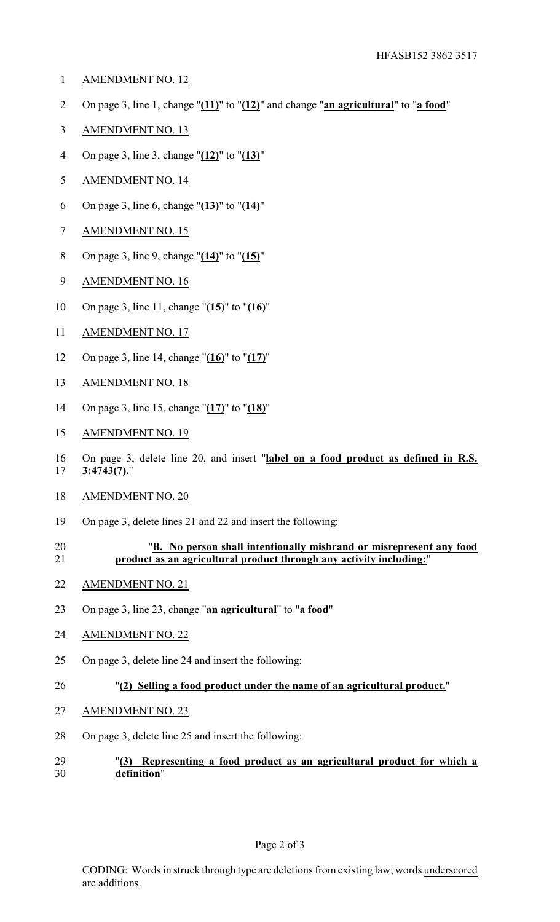- AMENDMENT NO. 12
- On page 3, line 1, change "**(11)**" to "**(12)**" and change "**an agricultural**" to "**a food**"
- AMENDMENT NO. 13
- On page 3, line 3, change "**(12)**" to "**(13)**"
- AMENDMENT NO. 14
- On page 3, line 6, change "**(13)**" to "**(14)**"
- AMENDMENT NO. 15
- On page 3, line 9, change "**(14)**" to "**(15)**"
- AMENDMENT NO. 16
- On page 3, line 11, change "**(15)**" to "**(16)**"
- AMENDMENT NO. 17
- On page 3, line 14, change "**(16)**" to "**(17)**"
- AMENDMENT NO. 18
- On page 3, line 15, change "**(17)**" to "**(18)**"
- AMENDMENT NO. 19
- On page 3, delete line 20, and insert "**label on a food product as defined in R.S. 3:4743(7).**"
- AMENDMENT NO. 20
- On page 3, delete lines 21 and 22 and insert the following:
- "**B. No person shall intentionally misbrand or misrepresent any food product as an agricultural product through any activity including:**"
- AMENDMENT NO. 21
- On page 3, line 23, change "**an agricultural**" to "**a food**"
- AMENDMENT NO. 22
- On page 3, delete line 24 and insert the following:
- "**(2) Selling a food product under the name of an agricultural product.**"
- AMENDMENT NO. 23
- On page 3, delete line 25 and insert the following:
- "**(3) Representing a food product as an agricultural product for which a definition**"